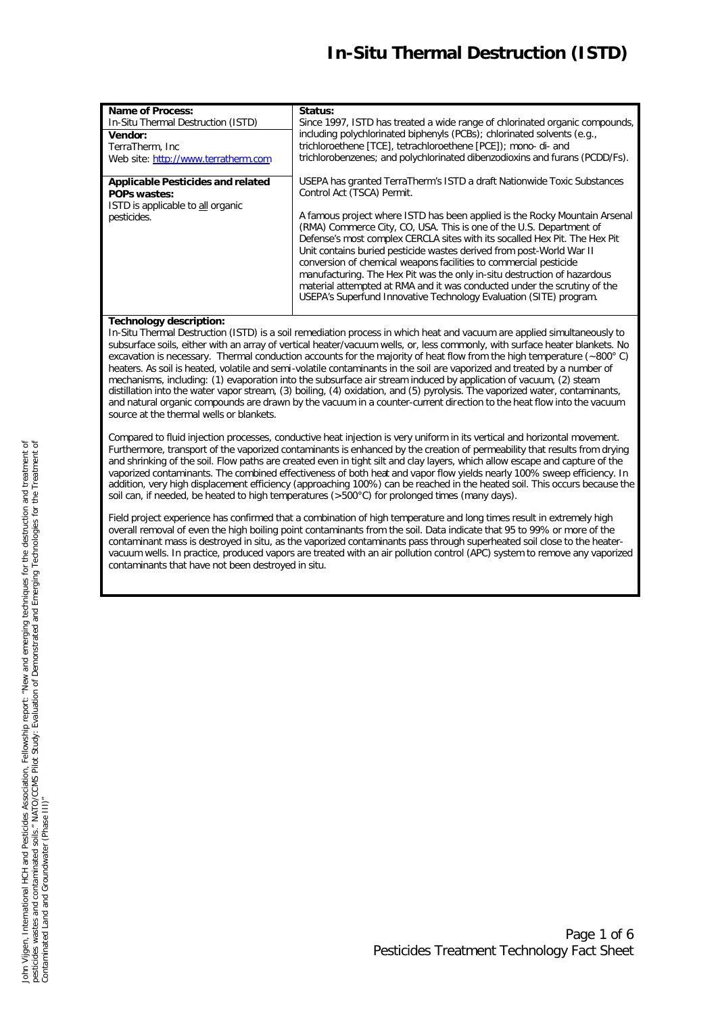# *In-Situ Thermal Destruction (ISTD)*

| <b>Name of Process:</b>                                                                                             | Status:                                                                                                                                                                                                                                                                                                                                                                                                                                                                                                                                                                                                                                                                                                             |
|---------------------------------------------------------------------------------------------------------------------|---------------------------------------------------------------------------------------------------------------------------------------------------------------------------------------------------------------------------------------------------------------------------------------------------------------------------------------------------------------------------------------------------------------------------------------------------------------------------------------------------------------------------------------------------------------------------------------------------------------------------------------------------------------------------------------------------------------------|
| In-Situ Thermal Destruction (ISTD)                                                                                  | Since 1997, ISTD has treated a wide range of chlorinated organic compounds,                                                                                                                                                                                                                                                                                                                                                                                                                                                                                                                                                                                                                                         |
| Vendor:                                                                                                             | including polychlorinated biphenyls (PCBs); chlorinated solvents (e.g.,                                                                                                                                                                                                                                                                                                                                                                                                                                                                                                                                                                                                                                             |
| TerraTherm, Inc.                                                                                                    | trichloroethene [TCE], tetrachloroethene [PCE]); mono- di- and                                                                                                                                                                                                                                                                                                                                                                                                                                                                                                                                                                                                                                                      |
| Web site: http://www.terratherm.com                                                                                 | trichlorobenzenes; and polychlorinated dibenzodioxins and furans (PCDD/Fs).                                                                                                                                                                                                                                                                                                                                                                                                                                                                                                                                                                                                                                         |
| <b>Applicable Pesticides and related</b><br><b>POPs wastes:</b><br>ISTD is applicable to all organic<br>pesticides. | USEPA has granted TerraTherm's ISTD a draft Nationwide Toxic Substances<br>Control Act (TSCA) Permit.<br>A famous project where ISTD has been applied is the Rocky Mountain Arsenal<br>(RMA) Commerce City, CO, USA. This is one of the U.S. Department of<br>Defense's most complex CERCLA sites with its socalled Hex Pit. The Hex Pit<br>Unit contains buried pesticide wastes derived from post-World War II<br>conversion of chemical weapons facilities to commercial pesticide<br>manufacturing. The Hex Pit was the only in-situ destruction of hazardous<br>material attempted at RMA and it was conducted under the scrutiny of the<br>USEPA's Superfund Innovative Technology Evaluation (SITE) program. |

## **Technology description:**

In-Situ Thermal Destruction (ISTD) is a soil remediation process in which heat and vacuum are applied simultaneously to subsurface soils, either with an array of vertical heater/vacuum wells, or, less commonly, with surface heater blankets. No excavation is necessary. Thermal conduction accounts for the majority of heat flow from the high temperature (~800° C) heaters. As soil is heated, volatile and semi-volatile contaminants in the soil are vaporized and treated by a number of mechanisms, including: (1) evaporation into the subsurface air stream induced by application of vacuum, (2) steam distillation into the water vapor stream, (3) boiling, (4) oxidation, and (5) pyrolysis. The vaporized water, contaminants, and natural organic compounds are drawn by the vacuum in a counter-current direction to the heat flow into the vacuum source at the thermal wells or blankets.

Compared to fluid injection processes, conductive heat injection is very uniform in its vertical and horizontal movement. Furthermore, transport of the vaporized contaminants is enhanced by the creation of permeability that results from drying and shrinking of the soil. Flow paths are created even in tight silt and clay layers, which allow escape and capture of the vaporized contaminants. The combined effectiveness of both heat and vapor flow yields nearly 100% sweep efficiency. In addition, very high displacement efficiency (approaching 100%) can be reached in the heated soil. This occurs because the soil can, if needed, be heated to high temperatures (>500°C) for prolonged times (many days).

Field project experience has confirmed that a combination of high temperature and long times result in extremely high overall removal of even the high boiling point contaminants from the soil. Data indicate that 95 to 99% or more of the contaminant mass is destroyed in situ, as the vaporized contaminants pass through superheated soil close to the heatervacuum wells. In practice, produced vapors are treated with an air pollution control (APC) system to remove any vaporized contaminants that have not been destroyed *in situ*.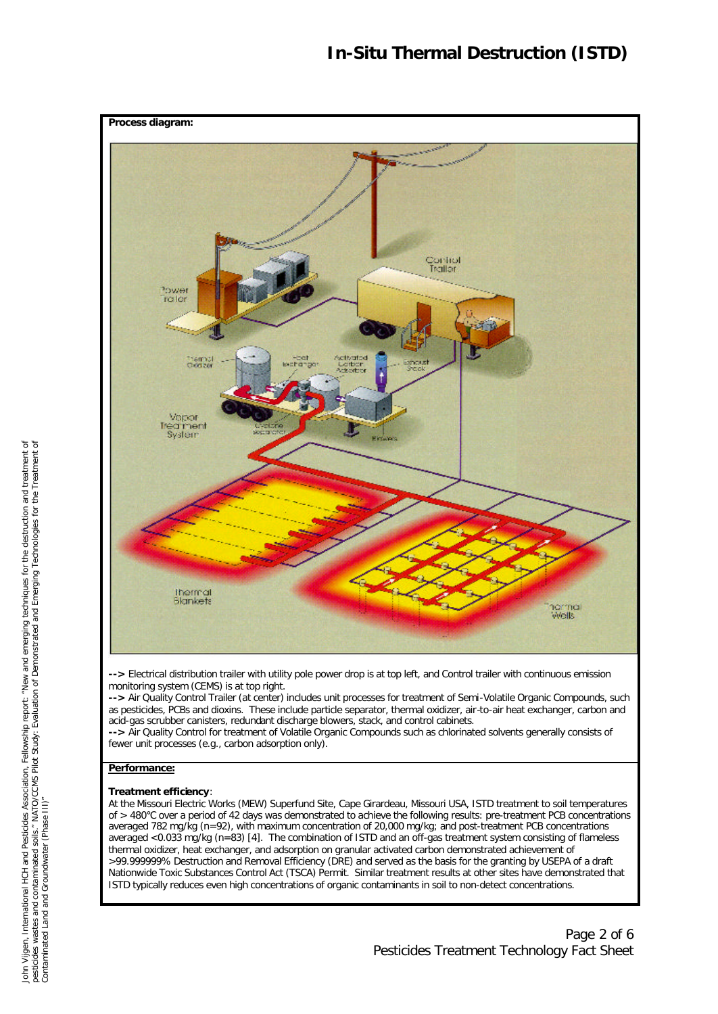

**-->** Electrical distribution trailer with utility pole power drop is at top left, and Control trailer with continuous emission monitoring system (CEMS) is at top right.

**-->** Air Quality Control Trailer (at center) includes unit processes for treatment of Semi-Volatile Organic Compounds, such as pesticides, PCBs and dioxins. These include particle separator, thermal oxidizer, air-to-air heat exchanger, carbon and acid-gas scrubber canisters, redundant discharge blowers, stack, and control cabinets.

**-->** Air Quality Control for treatment of Volatile Organic Compounds such as chlorinated solvents generally consists of fewer unit processes (e.g., carbon adsorption only).

# **Performance:**

## **Treatment efficiency**:

At the Missouri Electric Works (MEW) Superfund Site, Cape Girardeau, Missouri USA, ISTD treatment to soil temperatures of > 480°C over a period of 42 days was demonstrated to achieve the following results: pre-treatment PCB concentrations averaged 782 mg/kg (n=92), with maximum concentration of 20,000 mg/kg; and post-treatment PCB concentrations averaged <0.033 mg/kg (n=83) [4]. The combination of ISTD and an off-gas treatment system consisting of flameless thermal oxidizer, heat exchanger, and adsorption on granular activated carbon demonstrated achievement of >99.999999% Destruction and Removal Efficiency (DRE) and served as the basis for the granting by USEPA of a draft Nationwide Toxic Substances Control Act (TSCA) Permit. Similar treatment results at other sites have demonstrated that ISTD typically reduces even high concentrations of organic contaminants in soil to non-detect concentrations.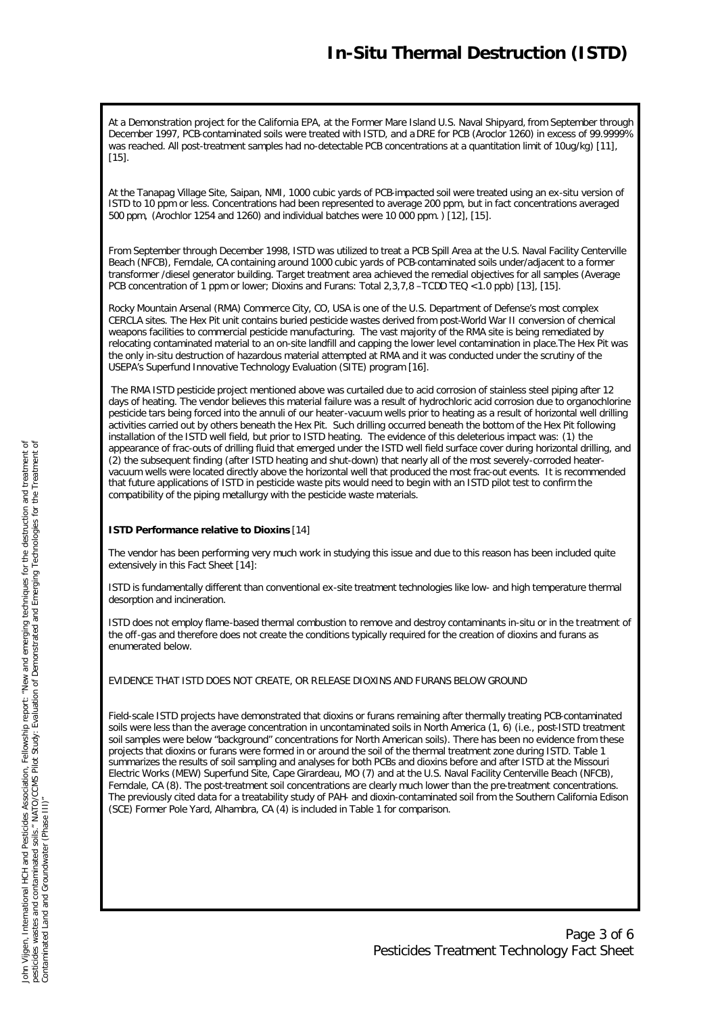At a Demonstration project for the California EPA, at the Former Mare Island U.S. Naval Shipyard, from September through December 1997, PCB-contaminated soils were treated with ISTD, and a DRE for PCB (Aroclor 1260) in excess of 99.9999% was reached. All post-treatment samples had no-detectable PCB concentrations at a quantitation limit of 10ug/kg) [11], [15].

At the Tanapag Village Site, Saipan, NMI, 1000 cubic yards of PCB-impacted soil were treated using an ex-situ version of ISTD to 10 ppm or less. Concentrations had been represented to average 200 ppm, but in fact concentrations averaged 500 ppm, (Arochlor 1254 and 1260) and individual batches were 10 000 ppm.) [12], [15].

From September through December 1998, ISTD was utilized to treat a PCB Spill Area at the U.S. Naval Facility Centerville Beach (NFCB), Ferndale, CA containing around 1000 cubic yards of PCB-contaminated soils under/adjacent to a former transformer /diesel generator building. Target treatment area achieved the remedial objectives for all samples (Average PCB concentration of 1 ppm or lower; Dioxins and Furans: Total 2,3,7,8 –TCDD TEQ <1.0 ppb) [13], [15].

Rocky Mountain Arsenal (RMA) Commerce City, CO, USA is one of the U.S. Department of Defense's most complex CERCLA sites. The Hex Pit unit contains buried pesticide wastes derived from post-World War II conversion of chemical weapons facilities to commercial pesticide manufacturing. The vast majority of the RMA site is being remediated by relocating contaminated material to an on-site landfill and capping the lower level contamination in place.The Hex Pit was the only in-situ destruction of hazardous material attempted at RMA and it was conducted under the scrutiny of the USEPA's Superfund Innovative Technology Evaluation (SITE) program [16].

 The RMA ISTD pesticide project mentioned above was curtailed due to acid corrosion of stainless steel piping after 12 days of heating. The vendor believes this material failure was a result of hydrochloric acid corrosion due to organochlorine pesticide tars being forced into the annuli of our heater-vacuum wells prior to heating as a result of horizontal well drilling activities carried out by others beneath the Hex Pit. Such drilling occurred beneath the bottom of the Hex Pit following installation of the ISTD well field, but prior to ISTD heating. The evidence of this deleterious impact was: (1) the appearance of frac-outs of drilling fluid that emerged under the ISTD well field surface cover during horizontal drilling, and (2) the subsequent finding (after ISTD heating and shut-down) that nearly all of the most severely-corroded heatervacuum wells were located directly above the horizontal well that produced the most frac-out events. It is recommended that future applications of ISTD in pesticide waste pits would need to begin with an ISTD pilot test to confirm the compatibility of the piping metallurgy with the pesticide waste materials.

## **ISTD Performance relative to Dioxins** [14]

The vendor has been performing very much work in studying this issue and due to this reason has been included quite extensively in this Fact Sheet [14]:

ISTD is fundamentally different than conventional ex-site treatment technologies like low- and high temperature thermal desorption and incineration.

ISTD does not employ flame-based thermal combustion to remove and destroy contaminants in-situ or in the treatment of the off-gas and therefore does not create the conditions typically required for the creation of dioxins and furans as enumerated below.

EVIDENCE THAT ISTD DOES NOT CREATE, OR RELEASE DIOXINS AND FURANS BELOW GROUND

Field-scale ISTD projects have demonstrated that dioxins or furans remaining after thermally treating PCB-contaminated soils were less than the average concentration in uncontaminated soils in North America (1, 6) (i.e., post-ISTD treatment soil samples were below "background" concentrations for North American soils). There has been no evidence from these projects that dioxins or furans were formed in or around the soil of the thermal treatment zone during ISTD. Table 1 summarizes the results of soil sampling and analyses for both PCBs and dioxins before and after ISTD at the Missouri Electric Works (MEW) Superfund Site, Cape Girardeau, MO (7) and at the U.S. Naval Facility Centerville Beach (NFCB), Ferndale, CA (8). The post-treatment soil concentrations are clearly much lower than the pre-treatment concentrations. The previously cited data for a treatability study of PAH- and dioxin-contaminated soil from the Southern California Edison (SCE) Former Pole Yard, Alhambra, CA (4) is included in Table 1 for comparison.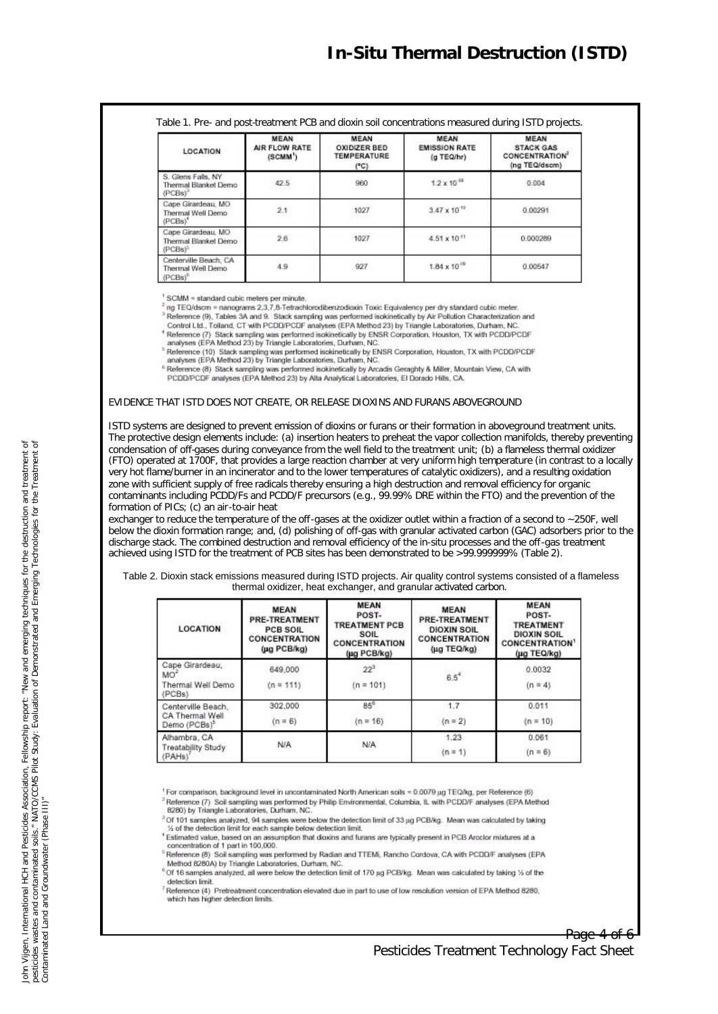Table 1. Pre- and post-treatment PCB and dioxin soil concentrations measured during ISTD projects.

| <b>LOCATION</b>                                                   | <b>MEAN</b><br>AIR FLOW RATE<br>(SCMM') | <b>MEAN</b><br>OXIDIZER BED.<br>TEMPERATURE<br>(°C) | <b>MEAN</b><br><b>EMISSION RATE</b><br>(g TEQ/hr) | <b>MEAN</b><br><b>STACK GAS</b><br><b>CONCENTRATION®</b><br>(ng TEQ/dscm) |
|-------------------------------------------------------------------|-----------------------------------------|-----------------------------------------------------|---------------------------------------------------|---------------------------------------------------------------------------|
| S. Glens Falls, NY<br>Thermal Blanket Demo<br>(PCBs)*             | 42.5                                    | 960                                                 | $1.2 \times 10^{-10}$                             | 0.004                                                                     |
| Cape Girardeau, MO<br>Thermal Well Demo<br>(PCBs) <sup>*</sup>    | 2.1                                     | 1027<br>32329                                       | $3.47 \times 10^{10}$                             | 0.00291<br>2072년 7월                                                       |
| Cape Girardeau, MO<br>Thermal Blanket Demo<br>(PCBs) <sup>2</sup> | 2.6                                     | 1027                                                | $4.51 \times 10^{-11}$                            | 0.000289                                                                  |
| Centerville Beach, CA<br>Thermal Well Demo<br>(PCBs) <sup>o</sup> | 4.9                                     | 927                                                 | $1.84 \times 10^{10}$                             | 0.00547                                                                   |

SCMM = standard cubic meters per minute.

 $^2$  ng TEQ/dscm = nanograms 2,3,7,8-Tetrachlorodibenzodioxin Toxic Equivalency per dry standard cubic meter.<br>  $^3$  Reference (9), Tables 3A and 9. Stack sampling was performed isokinetically by Air Pollution Characteriza

- 
- <sup>4</sup> Reference (7) Stack sampling was performed isokinetically by ENSR Corporation, Houston, TX with PCDD/PCDF analyses (EPA Method 23) by Triangle Laboratories, Durham, NC.

<sup>5</sup> Reference (10) Stack sampling was performed isokinetically by ENSR Corporation, Houston, TX with PCDD/PCDF analyses (EPA Method 23) by Triangle Laboratories, Durham, NC.

<sup>6</sup> Reference (8) Stack sampling was performed isokinetically by Arcadis Geraghty & Miller, Mountain View, CA with PCDD/PCDF analyses (EPA Method 23) by Alta Analytical Laboratories, El Dorado Hills, CA.

### EVIDENCE THAT ISTD DOES NOT CREATE, OR RELEASE DIOXINS AND FURANS ABOVEGROUND

ISTD systems are designed to prevent emission of dioxins or furans or their formation in aboveground treatment units. The protective design elements include: (a) insertion heaters to preheat the vapor collection manifolds, thereby preventing condensation of off-gases during conveyance from the well field to the treatment unit; (b) a flameless thermal oxidizer (FTO) operated at 1700F, that provides a large reaction chamber at very uniform high temperature (in contrast to a locally very hot flame/burner in an incinerator and to the lower temperatures of catalytic oxidizers), and a resulting oxidation zone with sufficient supply of free radicals thereby ensuring a high destruction and removal efficiency for organic contaminants including PCDD/Fs and PCDD/F precursors (e.g., 99.99% DRE within the FTO) and the prevention of the formation of PICs; (c) an air-to-air heat

exchanger to reduce the temperature of the off-gases at the oxidizer outlet within a fraction of a second to ~250F, well below the dioxin formation range; and, (d) polishing of off-gas with granular activated carbon (GAC) adsorbers prior to the discharge stack. The combined destruction and removal efficiency of the in-situ processes and the off-gas treatment achieved using ISTD for the treatment of PCB sites has been demonstrated to be >99.999999% (Table 2).

Table 2. Dioxin stack emissions measured during ISTD projects. Air quality control systems consisted of a flameless thermal oxidizer, heat exchanger, and granular activated carbon.

| <b>LOCATION</b>                                                   | <b>MEAN</b><br>PRE-TREATMENT<br>PCB SOIL<br><b>CONCENTRATION</b><br>$(\mu q$ PCB/kg) | MEAN<br>POST-<br><b>TREATMENT PCB</b><br>SOIL<br><b>CONCENTRATION</b><br>$(\mu q \text{ PCB/kg})$ | <b>MEAN</b><br><b>PRE-TREATMENT</b><br><b>DIOXIN SOIL</b><br>CONCENTRATION<br>(µg TEQ/kg) | <b>MEAN</b><br>POST-<br><b>TREATMENT</b><br><b>DIOXIN SOIL</b><br><b>CONCENTRATION</b><br>(µg TEQ/kg)<br>0.0032<br>$(n = 4)$ |  |
|-------------------------------------------------------------------|--------------------------------------------------------------------------------------|---------------------------------------------------------------------------------------------------|-------------------------------------------------------------------------------------------|------------------------------------------------------------------------------------------------------------------------------|--|
| Cape Girardeau,<br>MO <sup>*</sup><br>Thermal Well Demo<br>(PCBs) | 649,000<br>$(n = 111)$                                                               | $22^{3}$<br>$(n = 101)$                                                                           | $6.5^4$                                                                                   |                                                                                                                              |  |
| Centerville Beach.<br>CA Thermal Well<br>Demo (PCBs) <sup>5</sup> | 302,000<br>$(n = 6)$                                                                 | $85^{8}$<br>$(n = 16)$                                                                            | 1.7<br>$(n = 2)$                                                                          | 0.011<br>$(n = 10)$                                                                                                          |  |
| Alhambra, CA<br>Treatability Study<br>(PAHs)                      | N/A                                                                                  | N/A                                                                                               | 1.23<br>$(n = 1)$                                                                         | 0.061<br>$(n = 6)$                                                                                                           |  |

For comparison, background level in uncontaminated North American soils = 0.0079 µg TEQ/kg, per Reference (6)

8280) by Triangle Laboratories, Durham, NC. <sup>2</sup> Of 101 samples analyzed, 94 samples were below the detection limit of 33 μg PCB/kg. Mean was calculated by taking<br>5 of the detection limit for each sample below detection limit.

<sup>4</sup> Estimated value, based on an assumption that dioxins and furans are typically present in PCB Aroclor mixtures at a concentration of 1 part in 100,000.

Reference (8) Soil sampling was performed by Radian and TTEM, Rancho Cordova, CA with PCDD/F analyses (EPA Method 8280A) by Triangle Laboratories, Durham, NC

<sup>6</sup> Of 16 samples analyzed, all were below the detection limit of 170 µg PCB/kg. Mean was calculated by taking % of the detection limit.

Reference (4) Pretreatment concentration elevated due in part to use of low resolution version of EPA Method 8280, which has higher detection limits.

Reference (7) Soil sampling was performed by Philip Environmental, Columbia, IL with PCDD/F analyses (EPA Method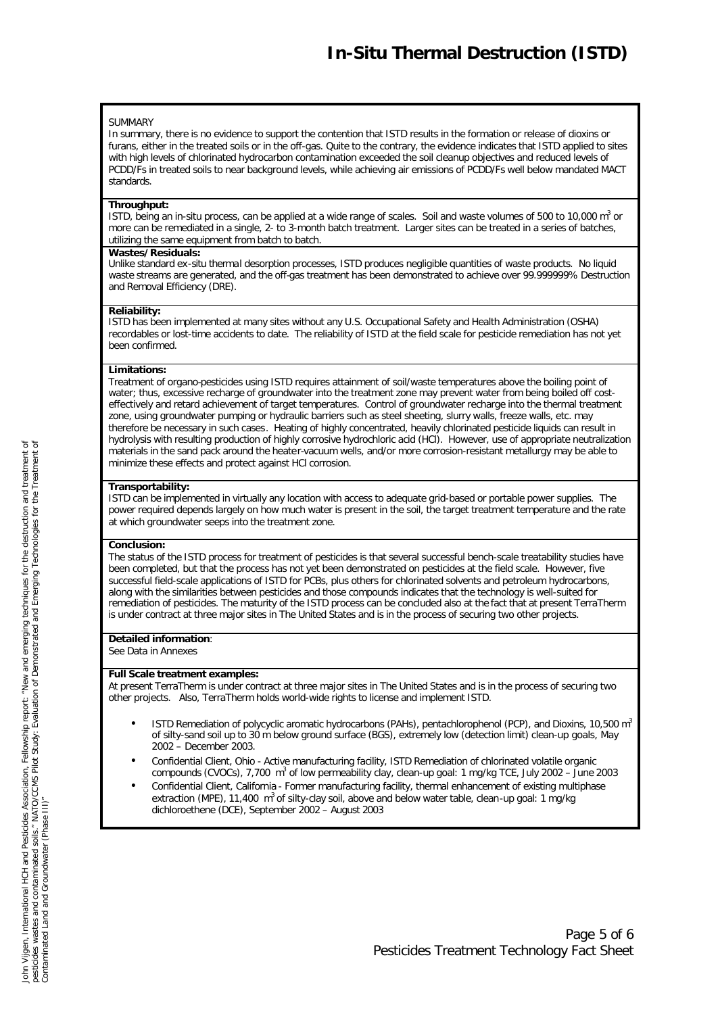#### SUMMARY

In summary, there is no evidence to support the contention that ISTD results in the formation or release of dioxins or furans, either in the treated soils or in the off-gas. Quite to the contrary, the evidence indicates that ISTD applied to sites with high levels of chlorinated hydrocarbon contamination exceeded the soil cleanup objectives and reduced levels of PCDD/Fs in treated soils to near background levels, while achieving air emissions of PCDD/Fs well below mandated MACT standards.

#### **Throughput:**

ISTD, being an in-situ process, can be applied at a wide range of scales. Soil and waste volumes of 500 to 10,000 m<sup>3</sup> or more can be remediated in a single, 2- to 3-month batch treatment. Larger sites can be treated in a series of batches, utilizing the same equipment from batch to batch.

#### **Wastes/Residuals:**

Unlike standard ex-situ thermal desorption processes, ISTD produces negligible quantities of waste products. No liquid waste streams are generated, and the off-gas treatment has been demonstrated to achieve over 99.999999% Destruction and Removal Efficiency (DRE).

#### **Reliability:**

ISTD has been implemented at many sites without any U.S. Occupational Safety and Health Administration (OSHA) recordables or lost-time accidents to date. The reliability of ISTD at the field scale for pesticide remediation has not yet been confirmed.

#### **Limitations:**

Treatment of organo-pesticides using ISTD requires attainment of soil/waste temperatures above the boiling point of water; thus, excessive recharge of groundwater into the treatment zone may prevent water from being boiled off costeffectively and retard achievement of target temperatures. Control of groundwater recharge into the thermal treatment zone, using groundwater pumping or hydraulic barriers such as steel sheeting, slurry walls, freeze walls, etc. may therefore be necessary in such cases. Heating of highly concentrated, heavily chlorinated pesticide liquids can result in hydrolysis with resulting production of highly corrosive hydrochloric acid (HCl). However, use of appropriate neutralization materials in the sand pack around the heater-vacuum wells, and/or more corrosion-resistant metallurgy may be able to minimize these effects and protect against HCl corrosion.

### **Transportability:**

ISTD can be implemented in virtually any location with access to adequate grid-based or portable power supplies. The power required depends largely on how much water is present in the soil, the target treatment temperature and the rate at which groundwater seeps into the treatment zone.

#### **Conclusion:**

The status of the ISTD process for treatment of pesticides is that several successful bench-scale treatability studies have been completed, but that the process has not yet been demonstrated on pesticides at the field scale. However, five successful field-scale applications of ISTD for PCBs, plus others for chlorinated solvents and petroleum hydrocarbons, along with the similarities between pesticides and those compounds indicates that the technology is well-suited for remediation of pesticides. The maturity of the ISTD process can be concluded also at the fact that at present TerraTherm is under contract at three major sites in The United States and is in the process of securing two other projects.

#### **Detailed information**:

See Data in Annexes

#### **Full Scale treatment examples:**

At present TerraTherm is under contract at three major sites in The United States and is in the process of securing two other projects. Also, TerraTherm holds world-wide rights to license and implement ISTD.

- ISTD Remediation of polycyclic aromatic hydrocarbons (PAHs), pentachlorophenol (PCP), and Dioxins, 10,500  $m<sup>3</sup>$ of silty-sand soil up to 30 m below ground surface (BGS), extremely low (detection limit) clean-up goals, May 2002 – December 2003.
- Confidential Client, Ohio Active manufacturing facility, ISTD Remediation of chlorinated volatile organic compounds (CVOCs), 7,700 m<sup>3</sup> of low permeability clay, clean-up goal: 1 mg/kg TCE, July 2002 – June 2003
- Confidential Client, California Former manufacturing facility, thermal enhancement of existing multiphase extraction (MPE), 11,400  $\text{m}^3$  of silty-clay soil, above and below water table, clean-up goal: 1 mg/kg dichloroethene (DCE), September 2002 – August 2003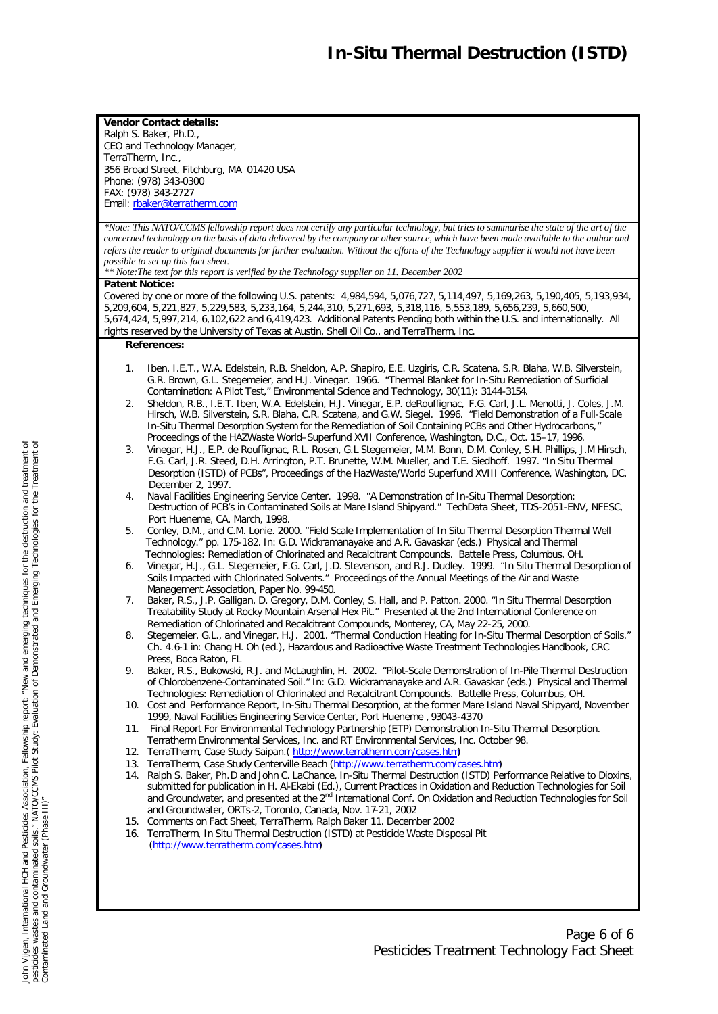**Vendor Contact details:** Ralph S. Baker, Ph.D., CEO and Technology Manager, TerraTherm, Inc., 356 Broad Street, Fitchburg, MA 01420 USA Phone: (978) 343-0300 FAX: (978) 343-2727 Email: rbaker@terratherm.com

*\*Note: This NATO/CCMS fellowship report does not certify any particular technology, but tries to summarise the state of the art of the concerned technology on the basis of data delivered by the company or other source, which have been made available to the author and refers the reader to original documents for further evaluation. Without the efforts of the Technology supplier it would not have been possible to set up this fact sheet.*

*\*\* Note:The text for this report is verified by the Technology supplier on 11. December 2002*

## **Patent Notice:**

Covered by one or more of the following U.S. patents: 4,984,594, 5,076,727, 5,114,497, 5,169,263, 5,190,405, 5,193,934, 5,209,604, 5,221,827, 5,229,583, 5,233,164, 5,244,310, 5,271,693, 5,318,116, 5,553,189, 5,656,239, 5,660,500, 5,674,424, 5,997,214, 6,102,622 and 6,419,423. Additional Patents Pending both within the U.S. and internationally. All rights reserved by the University of Texas at Austin, Shell Oil Co., and TerraTherm, Inc.

## **References:**

- 1. Iben, I.E.T., W.A. Edelstein, R.B. Sheldon, A.P. Shapiro, E.E. Uzgiris, C.R. Scatena, S.R. Blaha, W.B. Silverstein, G.R. Brown, G.L. Stegemeier, and H.J. Vinegar. 1966. "Thermal Blanket for In-Situ Remediation of Surficial Contamination: A Pilot Test," Environmental Science and Technology, 30(11): 3144-3154.
- 2. Sheldon, R.B., I.E.T. Iben, W.A. Edelstein, H.J. Vinegar, E.P. deRouffignac, F.G. Carl, J.L. Menotti, J. Coles, J.M. Hirsch, W.B. Silverstein, S.R. Blaha, C.R. Scatena, and G.W. Siegel. 1996. "Field Demonstration of a Full-Scale In-Situ Thermal Desorption System for the Remediation of Soil Containing PCBs and Other Hydrocarbons," Proceedings of the HAZWaste World–Superfund XVII Conference, Washington, D.C., Oct. 15–17, 1996.
- 3. Vinegar, H.J., E.P. de Rouffignac, R.L. Rosen, G.L Stegemeier, M.M. Bonn, D.M. Conley, S.H. Phillips, J.M Hirsch, F.G. Carl, J.R. Steed, D.H. Arrington, P.T. Brunette, W.M. Mueller, and T.E. Siedhoff. 1997. "In Situ Thermal Desorption (ISTD) of PCBs", Proceedings of the HazWaste/World Superfund XVIII Conference, Washington, DC, December 2, 1997.
- 4. Naval Facilities Engineering Service Center. 1998. "A Demonstration of In-Situ Thermal Desorption: Destruction of PCB's in Contaminated Soils at Mare Island Shipyard." TechData Sheet, TDS-2051-ENV, NFESC, Port Hueneme, CA, March, 1998.
- 5. Conley, D.M., and C.M. Lonie. 2000. "Field Scale Implementation of In Situ Thermal Desorption Thermal Well Technology." pp. 175-182. In: G.D. Wickramanayake and A.R. Gavaskar (eds.) Physical and Thermal Technologies: Remediation of Chlorinated and Recalcitrant Compounds. Battelle Press, Columbus, OH.
- 6. Vinegar, H.J., G.L. Stegemeier, F.G. Carl, J.D. Stevenson, and R.J. Dudley. 1999. "In Situ Thermal Desorption of Soils Impacted with Chlorinated Solvents." Proceedings of the Annual Meetings of the Air and Waste Management Association, Paper No. 99-450.
- 7. Baker, R.S., J.P. Galligan, D. Gregory, D.M. Conley, S. Hall, and P. Patton. 2000. "In Situ Thermal Desorption Treatability Study at Rocky Mountain Arsenal Hex Pit." Presented at the 2nd International Conference on Remediation of Chlorinated and Recalcitrant Compounds, Monterey, CA, May 22-25, 2000.
- 8. Stegemeier, G.L., and Vinegar, H.J. 2001. "Thermal Conduction Heating for In-Situ Thermal Desorption of Soils." Ch. 4.6-1 in: Chang H. Oh (ed.), Hazardous and Radioactive Waste Treatment Technologies Handbook, CRC Press, Boca Raton, FL
- 9. Baker, R.S., Bukowski, R.J. and McLaughlin, H. 2002. "Pilot-Scale Demonstration of In-Pile Thermal Destruction of Chlorobenzene-Contaminated Soil." In: G.D. Wickramanayake and A.R. Gavaskar (eds.) Physical and Thermal Technologies: Remediation of Chlorinated and Recalcitrant Compounds. Battelle Press, Columbus, OH.
- 10. Cost and Performance Report, In-Situ Thermal Desorption, at the former Mare Island Naval Shipyard, November 1999, Naval Facilities Engineering Service Center, Port Hueneme , 93043-4370
- 11. *Final Report For Environmental Technology Partnership (ETP) Demonstration In-Situ Thermal Desorption.*  Terratherm Environmental Services, Inc. and RT Environmental Services, Inc. October 98.
- 12. TerraTherm, Case Study Saipan.( http://www.terratherm.com/cases.htm)
- 13. TerraTherm, Case Study Centerville Beach (http://www.terratherm.com/cases.htm)
- 14. Ralph S. Baker, Ph.D and John C. LaChance, In-Situ Thermal Destruction (ISTD) Performance Relative to Dioxins, submitted for publication in H. Al-Ekabi (Ed.), *Current Practices in Oxidation and Reduction Technologies for Soil*  and Groundwater, and presented at the 2<sup>nd</sup> International Conf. On Oxidation and Reduction Technologies for Soil and Groundwater, ORTs-2, Toronto, Canada, Nov. 17-21, 2002
- 15. Comments on Fact Sheet, TerraTherm, Ralph Baker 11. December 2002
- 16. TerraTherm, In Situ Thermal Destruction (ISTD) at Pesticide Waste Disposal Pit (http://www.terratherm.com/cases.htm)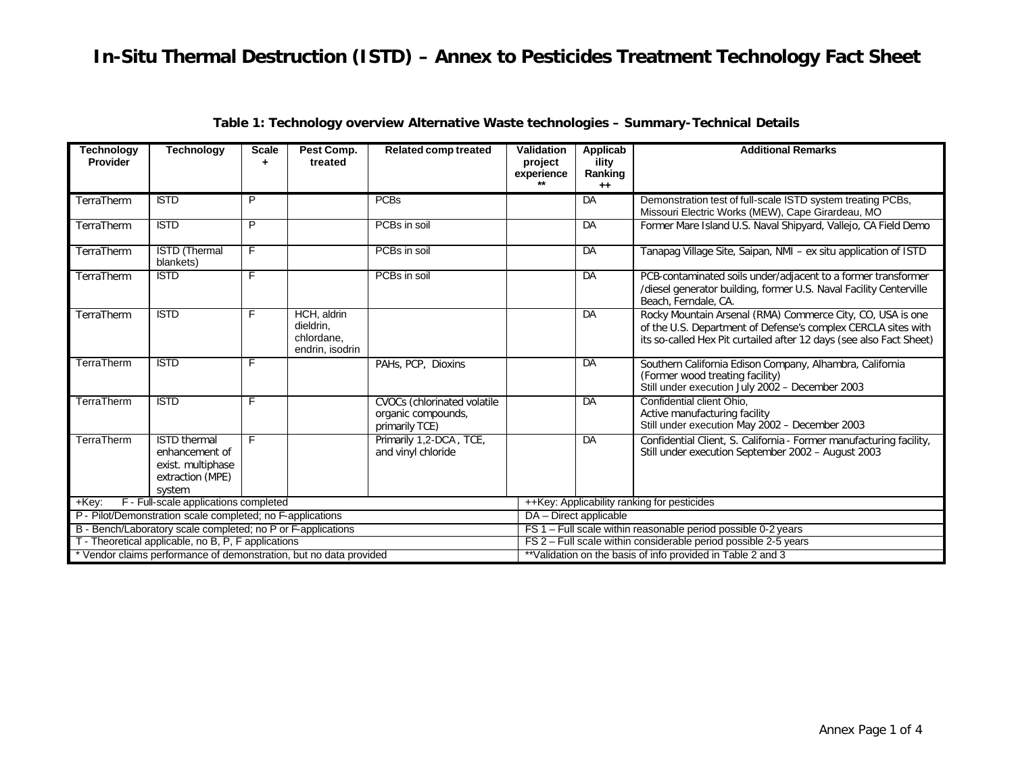| <b>Technology</b><br>Provider                                      | <b>Technology</b>                                                                        | <b>Scale</b><br>$\ddot{}$ | Pest Comp.<br>treated                                     | <b>Related comp treated</b>                                         | <b>Validation</b><br>project                                    | <b>Applicab</b><br>ility                                    | <b>Additional Remarks</b>                                                                                                                                                                          |  |  |
|--------------------------------------------------------------------|------------------------------------------------------------------------------------------|---------------------------|-----------------------------------------------------------|---------------------------------------------------------------------|-----------------------------------------------------------------|-------------------------------------------------------------|----------------------------------------------------------------------------------------------------------------------------------------------------------------------------------------------------|--|--|
|                                                                    |                                                                                          |                           |                                                           |                                                                     | experience                                                      | Ranking<br>$++$                                             |                                                                                                                                                                                                    |  |  |
| TerraTherm                                                         | <b>ISTD</b>                                                                              | P                         |                                                           | <b>PCBs</b>                                                         |                                                                 | DA                                                          | Demonstration test of full-scale ISTD system treating PCBs,                                                                                                                                        |  |  |
|                                                                    |                                                                                          |                           |                                                           |                                                                     |                                                                 |                                                             | Missouri Electric Works (MEW), Cape Girardeau, MO                                                                                                                                                  |  |  |
| TerraTherm                                                         | <b>ISTD</b>                                                                              | P                         |                                                           | PCBs in soil                                                        |                                                                 | DA                                                          | Former Mare Island U.S. Naval Shipyard, Vallejo, CA Field Demo                                                                                                                                     |  |  |
| TerraTherm                                                         | <b>ISTD</b> (Thermal<br>blankets)                                                        | F                         |                                                           | PCBs in soil                                                        |                                                                 | $\overline{DA}$                                             | Tanapag Village Site, Saipan, NMI - ex situ application of ISTD                                                                                                                                    |  |  |
| TerraTherm                                                         | <b>ISTD</b>                                                                              | F                         |                                                           | PCBs in soil                                                        |                                                                 | $\overline{DA}$                                             | PCB-contaminated soils under/adjacent to a former transformer<br>/diesel generator building, former U.S. Naval Facility Centerville<br>Beach, Ferndale, CA.                                        |  |  |
| TerraTherm                                                         | <b>ISTD</b>                                                                              | F                         | HCH, aldrin<br>dieldrin,<br>chlordane.<br>endrin, isodrin |                                                                     |                                                                 | DA                                                          | Rocky Mountain Arsenal (RMA) Commerce City, CO, USA is one<br>of the U.S. Department of Defense's complex CERCLA sites with<br>its so-called Hex Pit curtailed after 12 days (see also Fact Sheet) |  |  |
| TerraTherm                                                         | <b>ISTD</b>                                                                              | F                         |                                                           | PAHs, PCP, Dioxins                                                  |                                                                 | DA                                                          | Southern California Edison Company, Alhambra, California<br>(Former wood treating facility)<br>Still under execution July 2002 - December 2003                                                     |  |  |
| TerraTherm                                                         | <b>ISTD</b>                                                                              | F                         |                                                           | CVOCs (chlorinated volatile<br>organic compounds,<br>primarily TCE) |                                                                 | DA                                                          | Confidential client Ohio,<br>Active manufacturing facility<br>Still under execution May 2002 - December 2003                                                                                       |  |  |
| TerraTherm                                                         | <b>ISTD</b> thermal<br>enhancement of<br>exist. multiphase<br>extraction (MPE)<br>system | F                         |                                                           | Primarily 1,2-DCA, TCE,<br>and vinyl chloride                       |                                                                 | $\overline{DA}$                                             | Confidential Client, S. California - Former manufacturing facility,<br>Still under execution September 2002 - August 2003                                                                          |  |  |
| F - Full-scale applications completed<br>$+Key:$                   |                                                                                          |                           |                                                           |                                                                     |                                                                 | ++Key: Applicability ranking for pesticides                 |                                                                                                                                                                                                    |  |  |
| P - Pilot/Demonstration scale completed; no F-applications         |                                                                                          |                           |                                                           |                                                                     |                                                                 | DA - Direct applicable                                      |                                                                                                                                                                                                    |  |  |
| B - Bench/Laboratory scale completed; no P or F-applications       |                                                                                          |                           |                                                           |                                                                     | FS 1 - Full scale within reasonable period possible 0-2 years   |                                                             |                                                                                                                                                                                                    |  |  |
|                                                                    | T - Theoretical applicable, no B, P, F applications                                      |                           |                                                           |                                                                     | FS 2 - Full scale within considerable period possible 2-5 years |                                                             |                                                                                                                                                                                                    |  |  |
| * Vendor claims performance of demonstration, but no data provided |                                                                                          |                           |                                                           |                                                                     |                                                                 | **Validation on the basis of info provided in Table 2 and 3 |                                                                                                                                                                                                    |  |  |

|  |  | Table 1: Technology overview Alternative Waste technologies – Summary-Technical Details |  |  |
|--|--|-----------------------------------------------------------------------------------------|--|--|
|  |  |                                                                                         |  |  |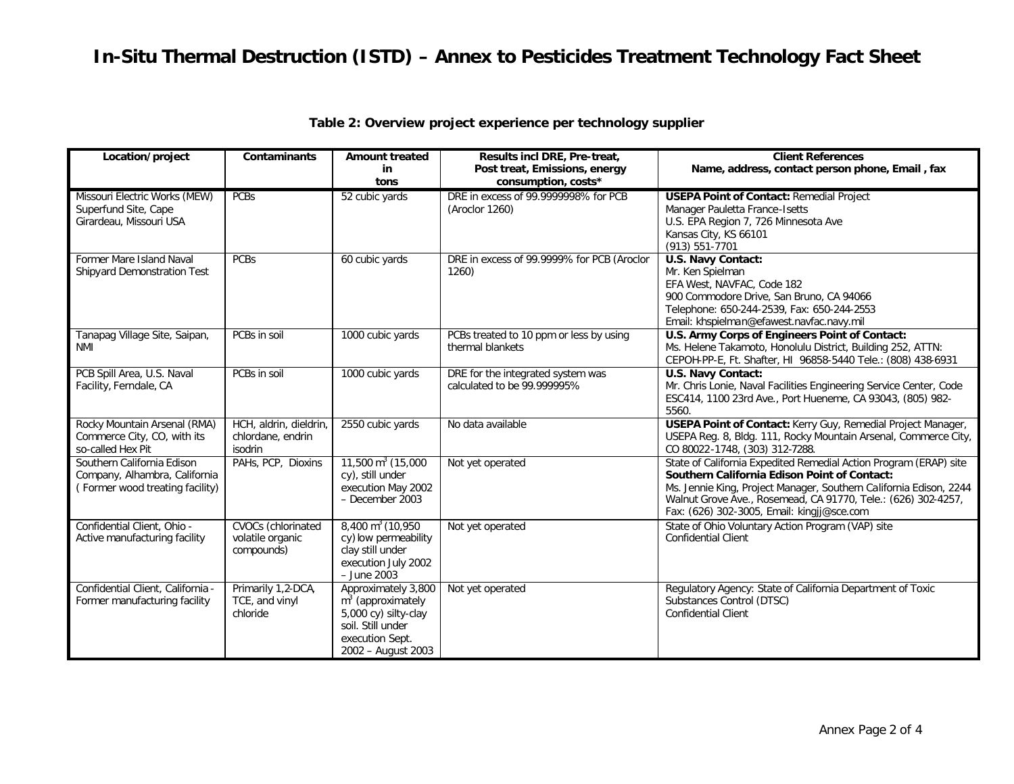# *In-Situ Thermal Destruction (ISTD) – Annex to Pesticides Treatment Technology Fact Sheet*

| Location/project                                                 | Contaminants              | <b>Amount treated</b>                 | Results incl DRE, Pre-treat,                           | <b>Client References</b>                                                                                                            |  |
|------------------------------------------------------------------|---------------------------|---------------------------------------|--------------------------------------------------------|-------------------------------------------------------------------------------------------------------------------------------------|--|
|                                                                  |                           | in                                    | Post treat, Emissions, energy                          | Name, address, contact person phone, Email, fax                                                                                     |  |
|                                                                  |                           | tons                                  | consumption, costs*                                    |                                                                                                                                     |  |
| Missouri Electric Works (MEW)<br>Superfund Site, Cape            | <b>PCBs</b>               | 52 cubic yards                        | DRE in excess of 99.9999998% for PCB<br>(Aroclor 1260) | <b>USEPA Point of Contact: Remedial Project</b><br>Manager Pauletta France-Isetts                                                   |  |
| Girardeau, Missouri USA                                          |                           |                                       |                                                        | U.S. EPA Region 7, 726 Minnesota Ave                                                                                                |  |
|                                                                  |                           |                                       |                                                        | Kansas City, KS 66101                                                                                                               |  |
|                                                                  |                           |                                       |                                                        | (913) 551-7701                                                                                                                      |  |
| Former Mare Island Naval                                         | <b>PCBs</b>               | 60 cubic yards                        | DRE in excess of 99.9999% for PCB (Aroclor             | U.S. Navy Contact:                                                                                                                  |  |
| Shipyard Demonstration Test                                      |                           |                                       | 1260)                                                  | Mr. Ken Spielman<br>EFA West, NAVFAC, Code 182                                                                                      |  |
|                                                                  |                           |                                       |                                                        | 900 Commodore Drive, San Bruno, CA 94066                                                                                            |  |
|                                                                  |                           |                                       |                                                        | Telephone: 650-244-2539, Fax: 650-244-2553                                                                                          |  |
|                                                                  |                           |                                       |                                                        | Email: khspielman@efawest.navfac.navy.mil                                                                                           |  |
| Tanapag Village Site, Saipan,                                    | PCBs in soil              | 1000 cubic yards                      | PCBs treated to 10 ppm or less by using                | U.S. Army Corps of Engineers Point of Contact:                                                                                      |  |
| NMI                                                              |                           |                                       | thermal blankets                                       | Ms. Helene Takamoto, Honolulu District, Building 252, ATTN:                                                                         |  |
|                                                                  |                           |                                       |                                                        | CEPOH-PP-E, Ft. Shafter, HI 96858-5440 Tele.: (808) 438-6931                                                                        |  |
| PCB Spill Area, U.S. Naval                                       | PCBs in soil              | 1000 cubic yards                      | DRE for the integrated system was                      | <b>U.S. Navy Contact:</b>                                                                                                           |  |
| Facility, Ferndale, CA                                           |                           |                                       | calculated to be 99.999995%                            | Mr. Chris Lonie, Naval Facilities Engineering Service Center, Code                                                                  |  |
|                                                                  |                           |                                       |                                                        | ESC414, 1100 23rd Ave., Port Hueneme, CA 93043, (805) 982-                                                                          |  |
|                                                                  |                           |                                       |                                                        | 5560.                                                                                                                               |  |
| Rocky Mountain Arsenal (RMA)                                     | HCH, aldrin, dieldrin,    | 2550 cubic yards                      | No data available                                      | USEPA Point of Contact: Kerry Guy, Remedial Project Manager,                                                                        |  |
| Commerce City, CO, with its                                      | chlordane, endrin         |                                       |                                                        | USEPA Reg. 8, Bldg. 111, Rocky Mountain Arsenal, Commerce City,                                                                     |  |
| so-called Hex Pit                                                | isodrin                   |                                       |                                                        | CO 80022-1748, (303) 312-7288.                                                                                                      |  |
| Southern California Edison                                       | PAHs, PCP, Dioxins        | $11,500 \text{ m}^3$ (15,000          | Not yet operated                                       | State of California Expedited Remedial Action Program (ERAP) site                                                                   |  |
| Company, Alhambra, California<br>(Former wood treating facility) |                           | cy), still under                      |                                                        | <b>Southern California Edison Point of Contact:</b>                                                                                 |  |
|                                                                  |                           | execution May 2002<br>- December 2003 |                                                        | Ms. Jennie King, Project Manager, Southern California Edison, 2244<br>Walnut Grove Ave., Rosemead, CA 91770, Tele.: (626) 302-4257, |  |
|                                                                  |                           |                                       |                                                        | Fax: (626) 302-3005, Email: kingjj@sce.com                                                                                          |  |
| Confidential Client, Ohio -                                      | <b>CVOCs</b> (chlorinated | $8,400 \text{ m}^3 (10,950)$          | Not yet operated                                       | State of Ohio Voluntary Action Program (VAP) site                                                                                   |  |
| Active manufacturing facility                                    | volatile organic          | cy) low permeability                  |                                                        | <b>Confidential Client</b>                                                                                                          |  |
|                                                                  | compounds)                | clay still under                      |                                                        |                                                                                                                                     |  |
|                                                                  |                           | execution July 2002                   |                                                        |                                                                                                                                     |  |
|                                                                  |                           | $-$ June 2003                         |                                                        |                                                                                                                                     |  |
| Confidential Client, California -                                | Primarily 1,2-DCA,        | Approximately 3,800                   | Not yet operated                                       | Regulatory Agency: State of California Department of Toxic                                                                          |  |
| Former manufacturing facility                                    | TCE, and vinyl            | $m3$ (approximately                   |                                                        | Substances Control (DTSC)                                                                                                           |  |
|                                                                  | chloride                  | 5,000 cy) silty-clay                  |                                                        | <b>Confidential Client</b>                                                                                                          |  |
|                                                                  |                           | soil. Still under                     |                                                        |                                                                                                                                     |  |
|                                                                  |                           | execution Sept.                       |                                                        |                                                                                                                                     |  |
|                                                                  |                           | 2002 - August 2003                    |                                                        |                                                                                                                                     |  |

## **Table 2: Overview project experience per technology supplier**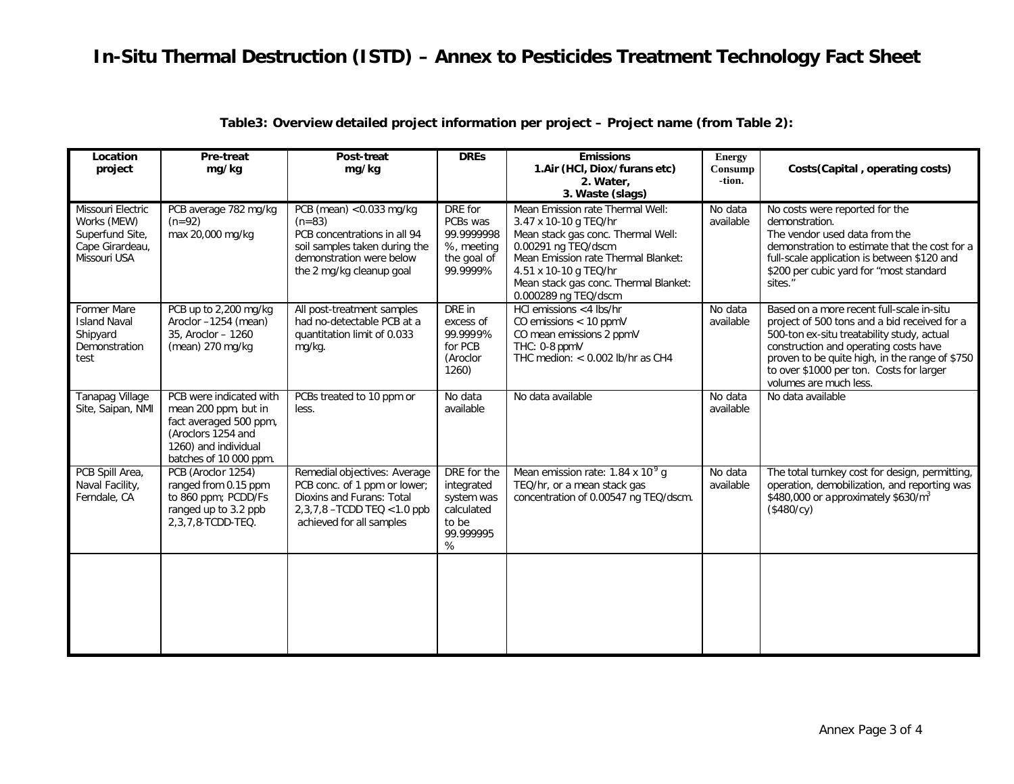| Location<br>project                                                                    | Pre-treat<br>mg/kg                                                                                                                                | Post-treat<br>mg/kg                                                                                                                                             | <b>DREs</b>                                                                      | <b>Emissions</b><br>1.Air (HCI, Diox/furans etc)<br>2. Water,<br>3. Waste (slags)                                                                                                                                                                       | <b>Energy</b><br>Consump<br>-tion. | Costs (Capital, operating costs)                                                                                                                                                                                                                                                                         |
|----------------------------------------------------------------------------------------|---------------------------------------------------------------------------------------------------------------------------------------------------|-----------------------------------------------------------------------------------------------------------------------------------------------------------------|----------------------------------------------------------------------------------|---------------------------------------------------------------------------------------------------------------------------------------------------------------------------------------------------------------------------------------------------------|------------------------------------|----------------------------------------------------------------------------------------------------------------------------------------------------------------------------------------------------------------------------------------------------------------------------------------------------------|
| Missouri Electric<br>Works (MEW)<br>Superfund Site,<br>Cape Girardeau,<br>Missouri USA | PCB average 782 mg/kg<br>$(n=92)$<br>max 20,000 mg/kg                                                                                             | PCB (mean) < $0.033$ mg/kg<br>$(n=83)$<br>PCB concentrations in all 94<br>soil samples taken during the<br>demonstration were below<br>the 2 mg/kg cleanup goal | DRE for<br>PCBs was<br>99.9999998<br>%, meeting<br>the goal of<br>99.9999%       | Mean Emission rate Thermal Well:<br>3.47 x 10-10 g TEQ/hr<br>Mean stack gas conc. Thermal Well:<br>0.00291 ng TEQ/dscm<br>Mean Emission rate Thermal Blanket:<br>4.51 x 10-10 g TEQ/hr<br>Mean stack gas conc. Thermal Blanket:<br>0.000289 ng TEQ/dscm | No data<br>available               | No costs were reported for the<br>demonstration.<br>The vendor used data from the<br>demonstration to estimate that the cost for a<br>full-scale application is between \$120 and<br>\$200 per cubic yard for "most standard<br>sites."                                                                  |
| Former Mare<br><b>Island Naval</b><br>Shipyard<br>Demonstration<br>test                | PCB up to 2,200 mg/kg<br>Aroclor -1254 (mean)<br>35, Aroclor - 1260<br>(mean) 270 mg/kg                                                           | All post-treatment samples<br>had no-detectable PCB at a<br>quantitation limit of 0.033<br>mg/kg.                                                               | DRE in<br>excess of<br>99.9999%<br>for PCB<br>(Aroclor<br>1260)                  | HCI emissions <4 lbs/hr<br>CO emissions $< 10$ ppmV<br>CO mean emissions 2 ppmV<br>THC: 0-8 ppmV<br>THC medion: $< 0.002$ lb/hr as CH4                                                                                                                  | No data<br>available               | Based on a more recent full-scale in-situ<br>project of 500 tons and a bid received for a<br>500-ton ex-situ treatability study, actual<br>construction and operating costs have<br>proven to be quite high, in the range of \$750<br>to over \$1000 per ton. Costs for larger<br>volumes are much less. |
| <b>Tanapag Village</b><br>Site, Saipan, NMI                                            | PCB were indicated with<br>mean 200 ppm, but in<br>fact averaged 500 ppm,<br>(Aroclors 1254 and<br>1260) and individual<br>batches of 10 000 ppm. | PCBs treated to 10 ppm or<br>less.                                                                                                                              | No data<br>available                                                             | No data available                                                                                                                                                                                                                                       | No data<br>available               | No data available                                                                                                                                                                                                                                                                                        |
| PCB Spill Area,<br>Naval Facility,<br>Ferndale, CA                                     | PCB (Aroclor 1254)<br>ranged from 0.15 ppm<br>to 860 ppm; PCDD/Fs<br>ranged up to 3.2 ppb<br>2, 3, 7, 8-TCDD-TEQ.                                 | Remedial objectives: Average<br>PCB conc. of 1 ppm or lower;<br>Dioxins and Furans: Total<br>2,3,7,8 - TCDD TEQ < 1.0 ppb<br>achieved for all samples           | DRE for the<br>integrated<br>system was<br>calculated<br>to be<br>99.999995<br>% | Mean emission rate: $1.84 \times 10^9$ g<br>TEQ/hr, or a mean stack gas<br>concentration of 0.00547 ng TEQ/dscm.                                                                                                                                        | No data<br>available               | The total turnkey cost for design, permitting,<br>operation, demobilization, and reporting was<br>\$480,000 or approximately \$630/ $m3$<br>(\$480/cy)                                                                                                                                                   |
|                                                                                        |                                                                                                                                                   |                                                                                                                                                                 |                                                                                  |                                                                                                                                                                                                                                                         |                                    |                                                                                                                                                                                                                                                                                                          |

**Table3: Overview detailed project information per project – Project name (from Table 2):**